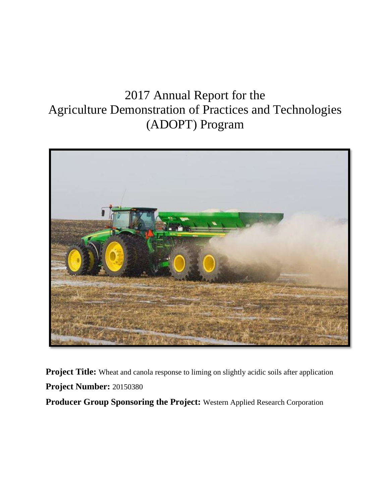# 2017 Annual Report for the Agriculture Demonstration of Practices and Technologies (ADOPT) Program



**Project Title:** Wheat and canola response to liming on slightly acidic soils after application **Project Number:** 20150380

**Producer Group Sponsoring the Project:** Western Applied Research Corporation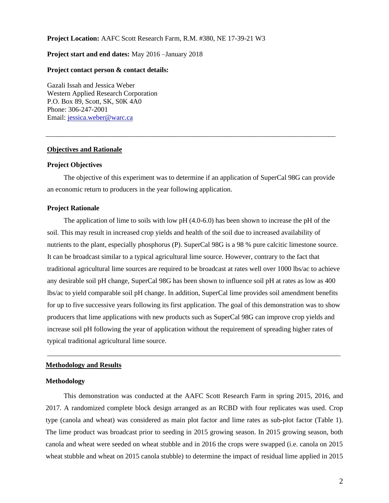## **Project Location:** AAFC Scott Research Farm, R.M. #380, NE 17-39-21 W3

## **Project start and end dates:** May 2016 –January 2018

#### **Project contact person & contact details:**

Gazali Issah and Jessica Weber Western Applied Research Corporation P.O. Box 89, Scott, SK, S0K 4A0 Phone: 306-247-2001 Email: [jessica.weber@warc.ca](mailto:jessica.weber@warc.ca)

#### **Objectives and Rationale**

## **Project Objectives**

The objective of this experiment was to determine if an application of SuperCal 98G can provide an economic return to producers in the year following application.

\_\_\_\_\_\_\_\_\_\_\_\_\_\_\_\_\_\_\_\_\_\_\_\_\_\_\_\_\_\_\_\_\_\_\_\_\_\_\_\_\_\_\_\_\_\_\_\_\_\_\_\_\_\_\_\_\_\_\_\_\_\_\_\_\_\_\_\_\_\_\_\_\_\_\_\_\_\_\_\_\_\_\_

### **Project Rationale**

The application of lime to soils with low pH (4.0-6.0) has been shown to increase the pH of the soil. This may result in increased crop yields and health of the soil due to increased availability of nutrients to the plant, especially phosphorus (P). SuperCal 98G is a 98 % pure calcitic limestone source. It can be broadcast similar to a typical agricultural lime source. However, contrary to the fact that traditional agricultural lime sources are required to be broadcast at rates well over 1000 lbs/ac to achieve any desirable soil pH change, SuperCal 98G has been shown to influence soil pH at rates as low as 400 lbs/ac to yield comparable soil pH change. In addition, SuperCal lime provides soil amendment benefits for up to five successive years following its first application. The goal of this demonstration was to show producers that lime applications with new products such as SuperCal 98G can improve crop yields and increase soil pH following the year of application without the requirement of spreading higher rates of typical traditional agricultural lime source.

\_\_\_\_\_\_\_\_\_\_\_\_\_\_\_\_\_\_\_\_\_\_\_\_\_\_\_\_\_\_\_\_\_\_\_\_\_\_\_\_\_\_\_\_\_\_\_\_\_\_\_\_\_\_\_\_\_\_\_\_\_\_\_\_\_\_\_\_\_\_\_\_\_\_\_\_\_\_\_\_\_\_\_\_

#### **Methodology and Results**

# **Methodology**

This demonstration was conducted at the AAFC Scott Research Farm in spring 2015, 2016, and 2017. A randomized complete block design arranged as an RCBD with four replicates was used. Crop type (canola and wheat) was considered as main plot factor and lime rates as sub-plot factor (Table 1). The lime product was broadcast prior to seeding in 2015 growing season. In 2015 growing season, both canola and wheat were seeded on wheat stubble and in 2016 the crops were swapped (i.e. canola on 2015 wheat stubble and wheat on 2015 canola stubble) to determine the impact of residual lime applied in 2015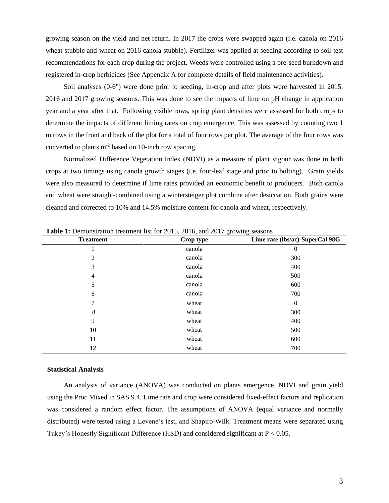growing season on the yield and net return. In 2017 the crops were swapped again (i.e. canola on 2016 wheat stubble and wheat on 2016 canola stubble). Fertilizer was applied at seeding according to soil test recommendations for each crop during the project. Weeds were controlled using a pre-seed burndown and registered in-crop herbicides (See Appendix A for complete details of field maintenance activities).

Soil analyses (0-6") were done prior to seeding, in-crop and after plots were harvested in 2015, 2016 and 2017 growing seasons. This was done to see the impacts of lime on pH change in application year and a year after that. Following visible rows, spring plant densities were assessed for both crops to determine the impacts of different liming rates on crop emergence. This was assessed by counting two 1 m rows in the front and back of the plot for a total of four rows per plot. The average of the four rows was converted to plants m-2 based on 10-inch row spacing.

Normalized Difference Vegetation Index (NDVI) as a measure of plant vigour was done in both crops at two timings using canola growth stages (i.e. four-leaf stage and prior to bolting). Grain yields were also measured to determine if lime rates provided an economic benefit to producers. Both canola and wheat were straight-combined using a wintersteiger plot combine after desiccation. Both grains were cleaned and corrected to 10% and 14.5% moisture content for canola and wheat, respectively.

| <b>Treatment</b> | Crop type | Lime rate (lbs/ac)-SuperCal 98G |
|------------------|-----------|---------------------------------|
|                  | canola    | $\overline{0}$                  |
| 2                | canola    | 300                             |
| 3                | canola    | 400                             |
| 4                | canola    | 500                             |
| 5                | canola    | 600                             |
| 6                | canola    | 700                             |
| 7                | wheat     | $\mathbf{0}$                    |
| 8                | wheat     | 300                             |
| 9                | wheat     | 400                             |
| 10               | wheat     | 500                             |
| 11               | wheat     | 600                             |
| 12               | wheat     | 700                             |

**Table 1:** Demonstration treatment list for 2015, 2016, and 2017 growing seasons

#### **Statistical Analysis**

An analysis of variance (ANOVA) was conducted on plants emergence, NDVI and grain yield using the Proc Mixed in SAS 9.4. Lime rate and crop were considered fixed-effect factors and replication was considered a random effect factor. The assumptions of ANOVA (equal variance and normally distributed) were tested using a Levene's test, and Shapiro-Wilk. Treatment means were separated using Tukey's Honestly Significant Difference (HSD) and considered significant at P < 0.05.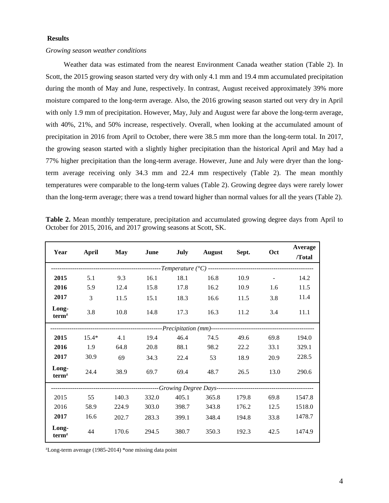# **Results**

#### *Growing season weather conditions*

Weather data was estimated from the nearest Environment Canada weather station (Table 2). In Scott, the 2015 growing season started very dry with only 4.1 mm and 19.4 mm accumulated precipitation during the month of May and June, respectively. In contrast, August received approximately 39% more moisture compared to the long-term average. Also, the 2016 growing season started out very dry in April with only 1.9 mm of precipitation. However, May, July and August were far above the long-term average, with 40%, 21%, and 50% increase, respectively. Overall, when looking at the accumulated amount of precipitation in 2016 from April to October, there were 38.5 mm more than the long-term total. In 2017, the growing season started with a slightly higher precipitation than the historical April and May had a 77% higher precipitation than the long-term average. However, June and July were dryer than the longterm average receiving only 34.3 mm and 22.4 mm respectively (Table 2). The mean monthly temperatures were comparable to the long-term values (Table 2). Growing degree days were rarely lower than the long-term average; there was a trend toward higher than normal values for all the years (Table 2).

**Table 2.** Mean monthly temperature, precipitation and accumulated growing degree days from April to October for 2015, 2016, and 2017 growing seasons at Scott, SK.

| Year                       |               |       |       |       | <b>August</b> | Sept. |      | Average |
|----------------------------|---------------|-------|-------|-------|---------------|-------|------|---------|
|                            | April         | May   | June  | July  |               |       | Oct  | /Total  |
|                            |               |       |       |       |               |       |      |         |
| 2015                       | 5.1           | 9.3   | 16.1  | 18.1  | 16.8          | 10.9  |      | 14.2    |
| 2016                       | 5.9           | 12.4  | 15.8  | 17.8  | 16.2          | 10.9  | 1.6  | 11.5    |
| 2017                       | $\mathcal{E}$ | 11.5  | 15.1  | 18.3  | 16.6          | 11.5  | 3.8  | 11.4    |
| Long-<br>term <sup>z</sup> | 3.8           | 10.8  | 14.8  | 17.3  | 16.3          | 11.2  | 3.4  | 11.1    |
|                            |               |       |       |       |               |       |      |         |
| 2015                       | $15.4*$       | 4.1   | 19.4  | 46.4  | 74.5          | 49.6  | 69.8 | 194.0   |
| 2016                       | 1.9           | 64.8  | 20.8  | 88.1  | 98.2          | 22.2  | 33.1 | 329.1   |
| 2017                       | 30.9          | 69    | 34.3  | 22.4  | 53            | 18.9  | 20.9 | 228.5   |
| Long-<br>term <sup>z</sup> | 24.4          | 38.9  | 69.7  | 69.4  | 48.7          | 26.5  | 13.0 | 290.6   |
|                            |               |       |       |       |               |       |      |         |
| 2015                       | 55            | 140.3 | 332.0 | 405.1 | 365.8         | 179.8 | 69.8 | 1547.8  |
| 2016                       | 58.9          | 224.9 | 303.0 | 398.7 | 343.8         | 176.2 | 12.5 | 1518.0  |
| 2017                       | 16.6          | 202.7 | 283.3 | 399.1 | 348.4         | 194.8 | 33.8 | 1478.7  |
| Long-<br>term <sup>z</sup> | 44            | 170.6 | 294.5 | 380.7 | 350.3         | 192.3 | 42.5 | 1474.9  |

 $\text{zLong-term average}$  (1985-2014) \*one missing data point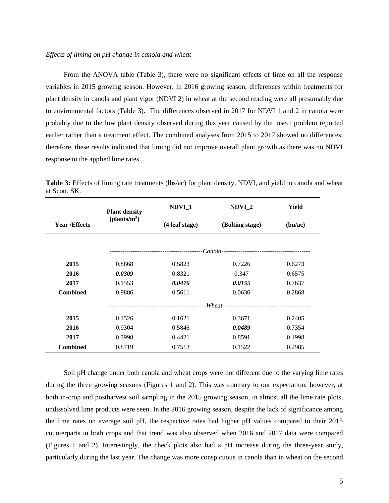## *Effects of liming on pH change in canola and wheat*

From the ANOVA table (Table 3), there were no significant effects of lime on all the response variables in 2015 growing season. However, in 2016 growing season, differences within treatments for plant density in canola and plant vigor (NDVI 2) in wheat at the second reading were all presumably due to environmental factors (Table 3). The differences observed in 2017 for NDVI 1 and 2 in canola were probably due to the low plant density observed during this year caused by the insect problem reported earlier rather than a treatment effect. The combined analyses from 2015 to 2017 showed no differences; therefore, these results indicated that liming did not improve overall plant growth as there was no NDVI response to the applied lime rates.

|                      | <b>Plant density</b>     | NDVI_1         | NDVI <sub>2</sub> | Yield   |  |
|----------------------|--------------------------|----------------|-------------------|---------|--|
| <b>Year /Effects</b> | (plants/m <sup>2</sup> ) | (4 leaf stage) | (Bolting stage)   | (bu/ac) |  |
|                      |                          |                |                   |         |  |
|                      |                          |                |                   |         |  |
| 2015                 | 0.8868                   | 0.5823         | 0.7226            | 0.6273  |  |
| 2016                 | 0.0309                   | 0.8321         | 0.347             | 0.6575  |  |
| 2017                 | 0.1553                   | 0.0476         | 0.0155            | 0.7637  |  |
| <b>Combined</b>      | 0.9886                   | 0.5611         | 0.0636            | 0.2868  |  |
|                      |                          |                |                   |         |  |
| 2015                 | 0.1526                   | 0.1621         | 0.3671            | 0.2405  |  |
| 2016                 | 0.9304                   | 0.5846         | 0.0489            | 0.7354  |  |
| 2017                 | 0.3998                   | 0.4421         | 0.8591            | 0.1998  |  |
| <b>Combined</b>      | 0.8719                   | 0.7513         | 0.1522            | 0.2985  |  |

**Table 3:** Effects of liming rate treatments (lbs/ac) for plant density, NDVI, and yield in canola and wheat at Scott, SK.

Soil pH change under both canola and wheat crops were not different due to the varying lime rates during the three growing seasons (Figures 1 and 2). This was contrary to our expectation; however, at both in-crop and postharvest soil sampling in the 2015 growing season, in almost all the lime rate plots, undissolved lime products were seen. In the 2016 growing season, despite the lack of significance among the lime rates on average soil pH, the respective rates had higher pH values compared to their 2015 counterparts in both crops and that trend was also observed when 2016 and 2017 data were compared (Figures 1 and 2). Interestingly, the check plots also had a pH increase during the three-year study, particularly during the last year. The change was more conspicuous in canola than in wheat on the second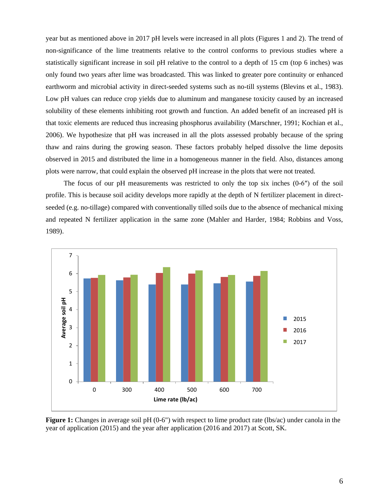year but as mentioned above in 2017 pH levels were increased in all plots (Figures 1 and 2). The trend of non-significance of the lime treatments relative to the control conforms to previous studies where a statistically significant increase in soil pH relative to the control to a depth of 15 cm (top 6 inches) was only found two years after lime was broadcasted. This was linked to greater pore continuity or enhanced earthworm and microbial activity in direct-seeded systems such as no-till systems (Blevins et al., 1983). Low pH values can reduce crop yields due to aluminum and manganese toxicity caused by an increased solubility of these elements inhibiting root growth and function. An added benefit of an increased pH is that toxic elements are reduced thus increasing phosphorus availability (Marschner, 1991; Kochian et al., 2006). We hypothesize that pH was increased in all the plots assessed probably because of the spring thaw and rains during the growing season. These factors probably helped dissolve the lime deposits observed in 2015 and distributed the lime in a homogeneous manner in the field. Also, distances among plots were narrow, that could explain the observed pH increase in the plots that were not treated.

The focus of our pH measurements was restricted to only the top six inches (0-6″) of the soil profile. This is because soil acidity develops more rapidly at the depth of N fertilizer placement in directseeded (e.g. no-tillage) compared with conventionally tilled soils due to the absence of mechanical mixing and repeated N fertilizer application in the same zone (Mahler and Harder, 1984; Robbins and Voss, 1989).



**Figure 1:** Changes in average soil pH (0-6") with respect to lime product rate (lbs/ac) under canola in the year of application (2015) and the year after application (2016 and 2017) at Scott, SK.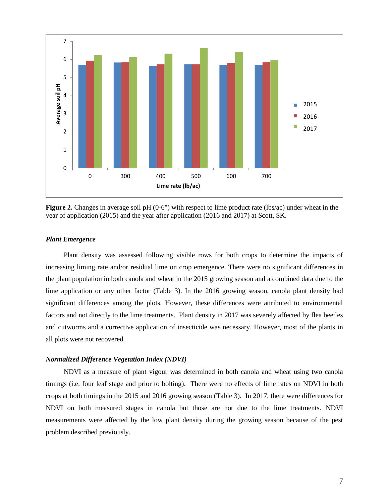

**Figure 2.** Changes in average soil pH (0-6") with respect to lime product rate (lbs/ac) under wheat in the year of application (2015) and the year after application (2016 and 2017) at Scott, SK.

## *Plant Emergence*

Plant density was assessed following visible rows for both crops to determine the impacts of increasing liming rate and/or residual lime on crop emergence. There were no significant differences in the plant population in both canola and wheat in the 2015 growing season and a combined data due to the lime application or any other factor (Table 3). In the 2016 growing season, canola plant density had significant differences among the plots. However, these differences were attributed to environmental factors and not directly to the lime treatments. Plant density in 2017 was severely affected by flea beetles and cutworms and a corrective application of insecticide was necessary. However, most of the plants in all plots were not recovered.

#### *Normalized Difference Vegetation Index (NDVI)*

NDVI as a measure of plant vigour was determined in both canola and wheat using two canola timings (i.e. four leaf stage and prior to bolting). There were no effects of lime rates on NDVI in both crops at both timings in the 2015 and 2016 growing season (Table 3). In 2017, there were differences for NDVI on both measured stages in canola but those are not due to the lime treatments. NDVI measurements were affected by the low plant density during the growing season because of the pest problem described previously.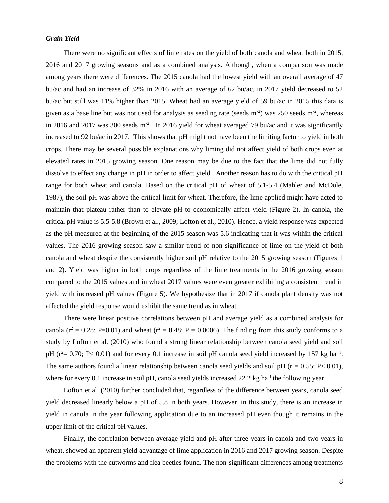## *Grain Yield*

There were no significant effects of lime rates on the yield of both canola and wheat both in 2015, 2016 and 2017 growing seasons and as a combined analysis. Although, when a comparison was made among years there were differences. The 2015 canola had the lowest yield with an overall average of 47 bu/ac and had an increase of 32% in 2016 with an average of 62 bu/ac, in 2017 yield decreased to 52 bu/ac but still was 11% higher than 2015. Wheat had an average yield of 59 bu/ac in 2015 this data is given as a base line but was not used for analysis as seeding rate (seeds  $m<sup>-2</sup>$ ) was 250 seeds  $m<sup>-2</sup>$ , whereas in 2016 and 2017 was 300 seeds m<sup>-2</sup>. In 2016 yield for wheat averaged 79 bu/ac and it was significantly increased to 92 bu/ac in 2017. This shows that pH might not have been the limiting factor to yield in both crops. There may be several possible explanations why liming did not affect yield of both crops even at elevated rates in 2015 growing season. One reason may be due to the fact that the lime did not fully dissolve to effect any change in pH in order to affect yield. Another reason has to do with the critical pH range for both wheat and canola. Based on the critical pH of wheat of 5.1-5.4 (Mahler and McDole, 1987), the soil pH was above the critical limit for wheat. Therefore, the lime applied might have acted to maintain that plateau rather than to elevate pH to economically affect yield (Figure 2). In canola, the critical pH value is 5.5-5.8 (Brown et al., 2009; Lofton et al., 2010). Hence, a yield response was expected as the pH measured at the beginning of the 2015 season was 5.6 indicating that it was within the critical values. The 2016 growing season saw a similar trend of non-significance of lime on the yield of both canola and wheat despite the consistently higher soil pH relative to the 2015 growing season (Figures 1 and 2). Yield was higher in both crops regardless of the lime treatments in the 2016 growing season compared to the 2015 values and in wheat 2017 values were even greater exhibiting a consistent trend in yield with increased pH values (Figure 5). We hypothesize that in 2017 if canola plant density was not affected the yield response would exhibit the same trend as in wheat.

There were linear positive correlations between pH and average yield as a combined analysis for canola ( $r^2 = 0.28$ ; P=0.01) and wheat ( $r^2 = 0.48$ ; P = 0.0006). The finding from this study conforms to a study by Lofton et al. (2010) who found a strong linear relationship between canola seed yield and soil pH ( $r^2$  = 0.70; P < 0.01) and for every 0.1 increase in soil pH canola seed yield increased by 157 kg ha<sup>-1</sup>. The same authors found a linear relationship between canola seed yields and soil pH ( $r^2$  = 0.55; P < 0.01), where for every 0.1 increase in soil pH, canola seed yields increased 22.2 kg ha<sup>-1</sup> the following year.

Lofton et al. (2010) further concluded that, regardless of the difference between years, canola seed yield decreased linearly below a pH of 5.8 in both years. However, in this study, there is an increase in yield in canola in the year following application due to an increased pH even though it remains in the upper limit of the critical pH values.

Finally, the correlation between average yield and pH after three years in canola and two years in wheat, showed an apparent yield advantage of lime application in 2016 and 2017 growing season. Despite the problems with the cutworms and flea beetles found. The non-significant differences among treatments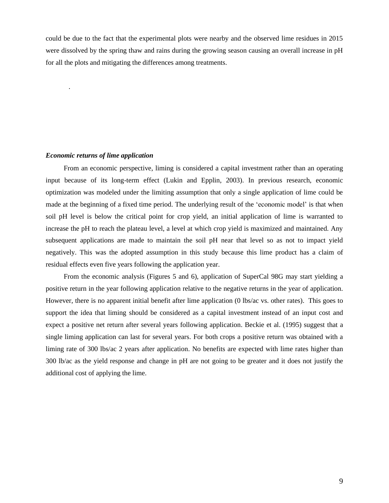could be due to the fact that the experimental plots were nearby and the observed lime residues in 2015 were dissolved by the spring thaw and rains during the growing season causing an overall increase in pH for all the plots and mitigating the differences among treatments.

#### *Economic returns of lime application*

.

From an economic perspective, liming is considered a capital investment rather than an operating input because of its long-term effect (Lukin and Epplin, 2003). In previous research, economic optimization was modeled under the limiting assumption that only a single application of lime could be made at the beginning of a fixed time period. The underlying result of the 'economic model' is that when soil pH level is below the critical point for crop yield, an initial application of lime is warranted to increase the pH to reach the plateau level, a level at which crop yield is maximized and maintained. Any subsequent applications are made to maintain the soil pH near that level so as not to impact yield negatively. This was the adopted assumption in this study because this lime product has a claim of residual effects even five years following the application year.

From the economic analysis (Figures 5 and 6), application of SuperCal 98G may start yielding a positive return in the year following application relative to the negative returns in the year of application. However, there is no apparent initial benefit after lime application (0 lbs/ac vs. other rates). This goes to support the idea that liming should be considered as a capital investment instead of an input cost and expect a positive net return after several years following application. Beckie et al. (1995) suggest that a single liming application can last for several years. For both crops a positive return was obtained with a liming rate of 300 lbs/ac 2 years after application. No benefits are expected with lime rates higher than 300 lb/ac as the yield response and change in pH are not going to be greater and it does not justify the additional cost of applying the lime.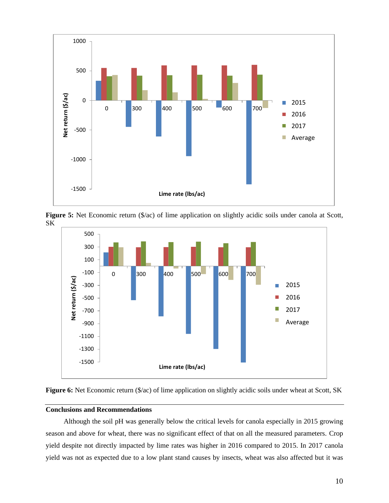

Figure 5: Net Economic return (\$/ac) of lime application on slightly acidic soils under canola at Scott, SK





# **Conclusions and Recommendations**

Although the soil pH was generally below the critical levels for canola especially in 2015 growing season and above for wheat, there was no significant effect of that on all the measured parameters. Crop yield despite not directly impacted by lime rates was higher in 2016 compared to 2015. In 2017 canola yield was not as expected due to a low plant stand causes by insects, wheat was also affected but it was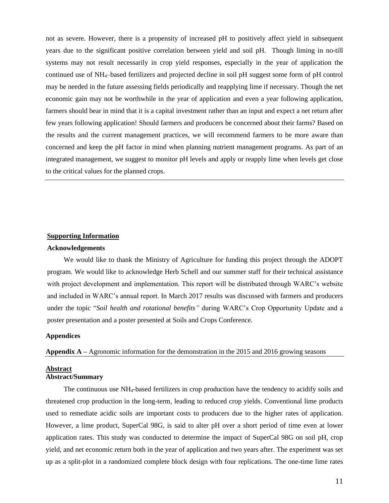not as severe. However, there is a propensity of increased pH to positively affect yield in subsequent years due to the significant positive correlation between yield and soil pH. Though liming in no-till systems may not result necessarily in crop yield responses, especially in the year of application the continued use of NH4–based fertilizers and projected decline in soil pH suggest some form of pH control may be needed in the future assessing fields periodically and reapplying lime if necessary. Though the net economic gain may not be worthwhile in the year of application and even a year following application, farmers should bear in mind that it is a capital investment rather than an input and expect a net return after few years following application! Should farmers and producers be concerned about their farms? Based on the results and the current management practices, we will recommend farmers to be more aware than concerned and keep the pH factor in mind when planning nutrient management programs. As part of an integrated management, we suggest to monitor pH levels and apply or reapply lime when levels get close to the critical values for the planned crops.

#### **Supporting Information**

#### **Acknowledgements**

We would like to thank the Ministry of Agriculture for funding this project through the ADOPT program. We would like to acknowledge Herb Schell and our summer staff for their technical assistance with project development and implementation. This report will be distributed through WARC's website and included in WARC's annual report. In March 2017 results was discussed with farmers and producers under the topic "*Soil health and rotational benefits"* during WARC's Crop Opportunity Update and a poster presentation and a poster presented at Soils and Crops Conference.

## **Appendices**

**Appendix A –** Agronomic information for the demonstration in the 2015 and 2016 growing seasons

# **Abstract Abstract/Summary**

The continuous use NH4-based fertilizers in crop production have the tendency to acidify soils and threatened crop production in the long-term, leading to reduced crop yields. Conventional lime products used to remediate acidic soils are important costs to producers due to the higher rates of application. However, a lime product, SuperCal 98G, is said to alter pH over a short period of time even at lower application rates. This study was conducted to determine the impact of SuperCal 98G on soil pH, crop yield, and net economic return both in the year of application and two years after. The experiment was set up as a split-plot in a randomized complete block design with four replications. The one-time lime rates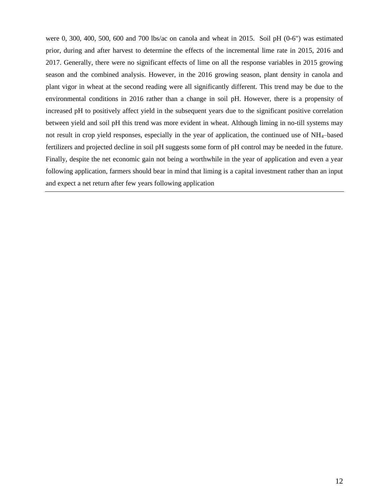were 0, 300, 400, 500, 600 and 700 lbs/ac on canola and wheat in 2015. Soil pH (0-6") was estimated prior, during and after harvest to determine the effects of the incremental lime rate in 2015, 2016 and 2017. Generally, there were no significant effects of lime on all the response variables in 2015 growing season and the combined analysis. However, in the 2016 growing season, plant density in canola and plant vigor in wheat at the second reading were all significantly different. This trend may be due to the environmental conditions in 2016 rather than a change in soil pH. However, there is a propensity of increased pH to positively affect yield in the subsequent years due to the significant positive correlation between yield and soil pH this trend was more evident in wheat. Although liming in no-till systems may not result in crop yield responses, especially in the year of application, the continued use of NH4–based fertilizers and projected decline in soil pH suggests some form of pH control may be needed in the future. Finally, despite the net economic gain not being a worthwhile in the year of application and even a year following application, farmers should bear in mind that liming is a capital investment rather than an input and expect a net return after few years following application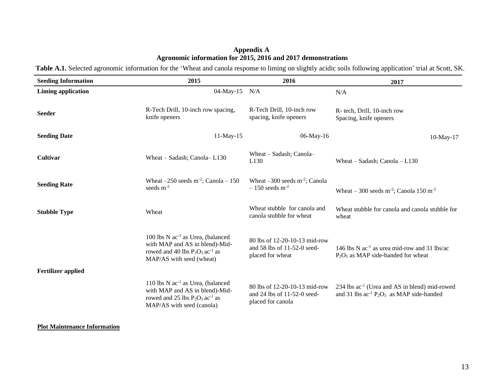# **Appendix A Agronomic information for 2015, 2016 and 2017 demonstrations**

Table A.1. Selected agronomic information for the 'Wheat and canola response to liming on slightly acidic soils following application' trial at Scott, SK.

| <b>Seeding Information</b> | 2015                                                                                                                                                            | 2016                                                                              | 2017                                                                                                       |
|----------------------------|-----------------------------------------------------------------------------------------------------------------------------------------------------------------|-----------------------------------------------------------------------------------|------------------------------------------------------------------------------------------------------------|
| <b>Liming application</b>  | 04-May-15 N/A                                                                                                                                                   |                                                                                   | N/A                                                                                                        |
| <b>Seeder</b>              | R-Tech Drill, 10-inch row spacing,<br>knife openers                                                                                                             | R-Tech Drill, 10-inch row<br>spacing, knife openers                               | R- tech, Drill, 10-inch row<br>Spacing, knife openers                                                      |
| <b>Seeding Date</b>        | $11-May-15$                                                                                                                                                     | 06-May-16                                                                         | $10$ -May- $17$                                                                                            |
| Cultivar                   | Wheat $-$ Sadash; Canola $-$ L130                                                                                                                               | Wheat - Sadash; Canola-<br>L <sub>130</sub>                                       | Wheat – Sadash; Canola – $L130$                                                                            |
| <b>Seeding Rate</b>        | Wheat $-250$ seeds m <sup>-2</sup> ; Canola $-150$<br>seeds $m^{-2}$                                                                                            | Wheat $-300$ seeds m <sup>-2</sup> ; Canola<br>$-150$ seeds m <sup>-2</sup>       | Wheat – 300 seeds m <sup>-2</sup> ; Canola 150 m <sup>-2</sup>                                             |
| <b>Stubble Type</b>        | Wheat                                                                                                                                                           | Wheat stubble for canola and<br>canola stubble for wheat                          | Wheat stubble for canola and canola stubble for<br>wheat                                                   |
| <b>Fertilizer applied</b>  | 100 lbs $N$ ac <sup>-1</sup> as Urea, (balanced<br>with MAP and AS in blend)-Mid-<br>rowed and 40 lbs $P_2O_5$ ac <sup>-1</sup> as<br>MAP/AS with seed (wheat)  | 80 lbs of 12-20-10-13 mid-row<br>and 58 lbs of 11-52-0 seed-<br>placed for wheat  | 146 lbs N $ac^{-1}$ as urea mid-row and 31 lbs/ac<br>$P_2O_5$ as MAP side-banded for wheat                 |
|                            | 110 lbs $N$ ac <sup>-1</sup> as Urea, (balanced<br>with MAP and AS in blend)-Mid-<br>rowed and 25 lbs $P_2O_5$ ac <sup>-1</sup> as<br>MAP/AS with seed (canola) | 80 lbs of 12-20-10-13 mid-row<br>and 24 lbs of 11-52-0 seed-<br>placed for canola | 234 lbs ac <sup>-1</sup> (Urea and AS in blend) mid-rowed<br>and 31 lbs $ac^{-1}P_2O_5$ as MAP side-banded |

# **Plot Maintenance Information**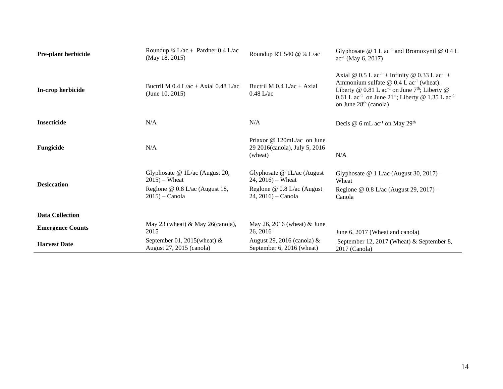| <b>Pre-plant herbicide</b> | Roundup $\frac{3}{4}$ L/ac + Pardner 0.4 L/ac<br>(May 18, 2015) | Roundup RT 540 $@$ 3/4 L/ac                                            | Glyphosate $@ 1 L ac-1$ and Bromoxynil $@ 0.4 L$<br>$ac^{-1}$ (May 6, 2017)                                                                                                                                                                                                                                                                    |
|----------------------------|-----------------------------------------------------------------|------------------------------------------------------------------------|------------------------------------------------------------------------------------------------------------------------------------------------------------------------------------------------------------------------------------------------------------------------------------------------------------------------------------------------|
| In-crop herbicide          | Buctril M $0.4$ L/ac + Axial 0.48 L/ac<br>(June 10, 2015)       | Buctril M $0.4$ L/ac + Axial<br>$0.48$ L/ac                            | Axial @ $0.5$ L ac <sup>-1</sup> + Infinity @ $0.33$ L ac <sup>-1</sup> +<br>Ammonium sulfate $\omega$ 0.4 L ac <sup>-1</sup> (wheat).<br>Liberty @ $0.81$ L ac <sup>-1</sup> on June 7 <sup>th</sup> ; Liberty @<br>0.61 L ac <sup>-1</sup> on June 21 <sup>st</sup> ; Liberty @ 1.35 L ac <sup>-1</sup><br>on June 28 <sup>th</sup> (canola) |
| <b>Insecticide</b>         | N/A                                                             | N/A                                                                    | Decis $\omega$ 6 mL ac <sup>-1</sup> on May 29 <sup>th</sup>                                                                                                                                                                                                                                                                                   |
| Fungicide                  | N/A                                                             | Priaxor @ 120mL/ac on June<br>29 2016(canola), July 5, 2016<br>(wheat) | N/A                                                                                                                                                                                                                                                                                                                                            |
| <b>Desiccation</b>         | Glyphosate $@1L/ac$ (August 20,<br>$2015$ – Wheat               | Glyphosate $@$ 1L/ac (August<br>$24, 2016$ – Wheat                     | Glyphosate @ 1 L/ac (August 30, 2017) –<br>Wheat                                                                                                                                                                                                                                                                                               |
|                            | Reglone @ 0.8 L/ac (August 18,<br>$2015$ ) – Canola             | Reglone $@$ 0.8 L/ac (August<br>$24, 2016$ – Canola                    | Reglone @ $0.8$ L/ac (August 29, 2017) -<br>Canola                                                                                                                                                                                                                                                                                             |
| <b>Data Collection</b>     |                                                                 |                                                                        |                                                                                                                                                                                                                                                                                                                                                |
| <b>Emergence Counts</b>    | May 23 (wheat) & May 26(canola),<br>2015                        | May 26, 2016 (wheat) & June<br>26, 2016                                | June 6, 2017 (Wheat and canola)                                                                                                                                                                                                                                                                                                                |
| <b>Harvest Date</b>        | September 01, 2015 (wheat) $\&$<br>August 27, 2015 (canola)     | August 29, 2016 (canola) $\&$<br>September 6, 2016 (wheat)             | September 12, 2017 (Wheat) & September 8,<br>2017 (Canola)                                                                                                                                                                                                                                                                                     |